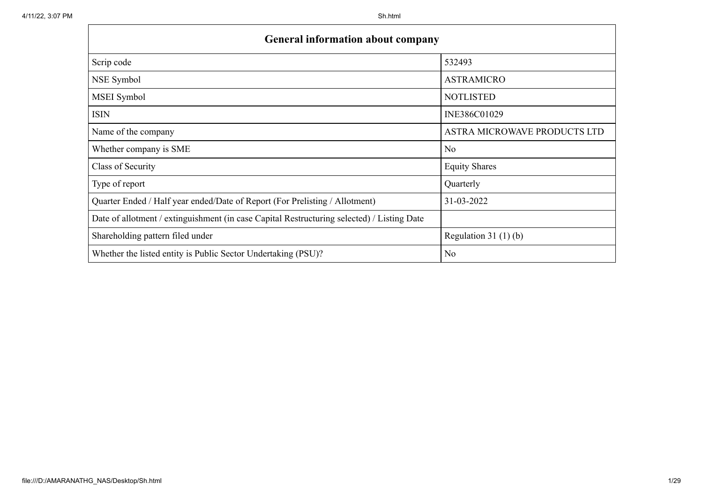| <b>General information about company</b>                                                   |                              |  |  |  |  |  |  |  |  |
|--------------------------------------------------------------------------------------------|------------------------------|--|--|--|--|--|--|--|--|
| Scrip code                                                                                 | 532493                       |  |  |  |  |  |  |  |  |
| NSE Symbol                                                                                 | <b>ASTRAMICRO</b>            |  |  |  |  |  |  |  |  |
| MSEI Symbol                                                                                | <b>NOTLISTED</b>             |  |  |  |  |  |  |  |  |
| <b>ISIN</b>                                                                                | INE386C01029                 |  |  |  |  |  |  |  |  |
| Name of the company                                                                        | ASTRA MICROWAVE PRODUCTS LTD |  |  |  |  |  |  |  |  |
| Whether company is SME                                                                     | No                           |  |  |  |  |  |  |  |  |
| Class of Security                                                                          | <b>Equity Shares</b>         |  |  |  |  |  |  |  |  |
| Type of report                                                                             | Quarterly                    |  |  |  |  |  |  |  |  |
| Quarter Ended / Half year ended/Date of Report (For Prelisting / Allotment)                | 31-03-2022                   |  |  |  |  |  |  |  |  |
| Date of allotment / extinguishment (in case Capital Restructuring selected) / Listing Date |                              |  |  |  |  |  |  |  |  |
| Shareholding pattern filed under                                                           | Regulation $31(1)(b)$        |  |  |  |  |  |  |  |  |
| Whether the listed entity is Public Sector Undertaking (PSU)?                              | No                           |  |  |  |  |  |  |  |  |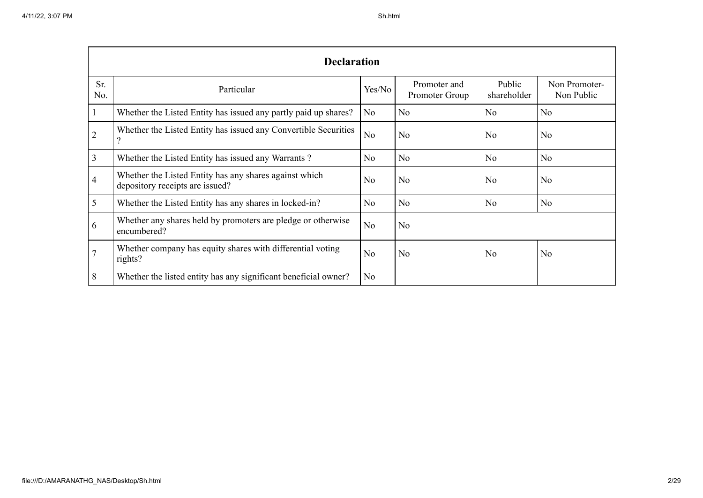|                | <b>Declaration</b>                                                                        |                |                                |                       |                             |  |  |  |  |  |  |  |  |
|----------------|-------------------------------------------------------------------------------------------|----------------|--------------------------------|-----------------------|-----------------------------|--|--|--|--|--|--|--|--|
| Sr.<br>No.     | Particular                                                                                | Yes/No         | Promoter and<br>Promoter Group | Public<br>shareholder | Non Promoter-<br>Non Public |  |  |  |  |  |  |  |  |
| $\mathbf{1}$   | Whether the Listed Entity has issued any partly paid up shares?                           | N <sub>o</sub> | N <sub>o</sub>                 | No                    | No                          |  |  |  |  |  |  |  |  |
| $\overline{2}$ | Whether the Listed Entity has issued any Convertible Securities<br>9                      | N <sub>o</sub> | No                             | N <sub>0</sub>        | N <sub>0</sub>              |  |  |  |  |  |  |  |  |
| $\overline{3}$ | Whether the Listed Entity has issued any Warrants?                                        | N <sub>o</sub> | No                             | N <sub>o</sub>        | No                          |  |  |  |  |  |  |  |  |
| $\overline{4}$ | Whether the Listed Entity has any shares against which<br>depository receipts are issued? | N <sub>o</sub> | N <sub>o</sub>                 | No                    | No                          |  |  |  |  |  |  |  |  |
| 5              | Whether the Listed Entity has any shares in locked-in?                                    | N <sub>o</sub> | N <sub>o</sub>                 | No                    | N <sub>o</sub>              |  |  |  |  |  |  |  |  |
| 6              | Whether any shares held by promoters are pledge or otherwise<br>encumbered?               | N <sub>o</sub> | N <sub>o</sub>                 |                       |                             |  |  |  |  |  |  |  |  |
| $\overline{7}$ | Whether company has equity shares with differential voting<br>rights?                     | No             | No                             | No                    | N <sub>o</sub>              |  |  |  |  |  |  |  |  |
| 8              | Whether the listed entity has any significant beneficial owner?                           | N <sub>o</sub> |                                |                       |                             |  |  |  |  |  |  |  |  |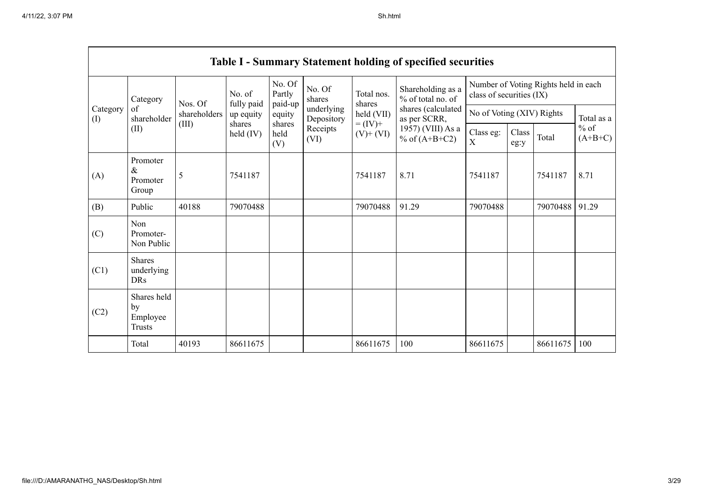$\blacksquare$ 

|                 | <b>Table I - Summary Statement holding of specified securities</b> |              |                              |                       |                                                                  |                                                                    |                                                                                                                      |                                                                  |               |          |                                   |  |  |  |
|-----------------|--------------------------------------------------------------------|--------------|------------------------------|-----------------------|------------------------------------------------------------------|--------------------------------------------------------------------|----------------------------------------------------------------------------------------------------------------------|------------------------------------------------------------------|---------------|----------|-----------------------------------|--|--|--|
|                 | Category                                                           | Nos. Of      | No. of                       | No. Of<br>Partly      | No. Of<br>shares<br>underlying<br>Depository<br>Receipts<br>(VI) | Total nos.<br>shares<br>held (VII)<br>$= (IV) +$<br>$(V)$ + $(VI)$ | Shareholding as a<br>% of total no. of<br>shares (calculated<br>as per SCRR,<br>1957) (VIII) As a<br>% of $(A+B+C2)$ | Number of Voting Rights held in each<br>class of securities (IX) |               |          |                                   |  |  |  |
| Category<br>(1) | of<br>shareholder                                                  | shareholders | fully paid<br>up equity      | paid-up<br>equity     |                                                                  |                                                                    |                                                                                                                      | No of Voting (XIV) Rights                                        |               |          | Total as a<br>$%$ of<br>$(A+B+C)$ |  |  |  |
|                 | (II)                                                               | (III)        | shares<br>$\text{held (IV)}$ | shares<br>held<br>(V) |                                                                  |                                                                    |                                                                                                                      | Class eg:<br>X                                                   | Class<br>eg:y | Total    |                                   |  |  |  |
| (A)             | Promoter<br>$\&$<br>Promoter<br>Group                              | 5            | 7541187                      |                       |                                                                  | 7541187                                                            | 8.71                                                                                                                 | 7541187                                                          |               | 7541187  | 8.71                              |  |  |  |
| (B)             | Public                                                             | 40188        | 79070488                     |                       |                                                                  | 79070488                                                           | 91.29                                                                                                                | 79070488                                                         |               | 79070488 | 91.29                             |  |  |  |
| (C)             | Non<br>Promoter-<br>Non Public                                     |              |                              |                       |                                                                  |                                                                    |                                                                                                                      |                                                                  |               |          |                                   |  |  |  |
| (C1)            | Shares<br>underlying<br><b>DRs</b>                                 |              |                              |                       |                                                                  |                                                                    |                                                                                                                      |                                                                  |               |          |                                   |  |  |  |
| (C2)            | Shares held<br>by<br>Employee<br><b>Trusts</b>                     |              |                              |                       |                                                                  |                                                                    |                                                                                                                      |                                                                  |               |          |                                   |  |  |  |
|                 | Total                                                              | 40193        | 86611675                     |                       |                                                                  | 86611675                                                           | 100                                                                                                                  | 86611675                                                         |               | 86611675 | 100                               |  |  |  |

٦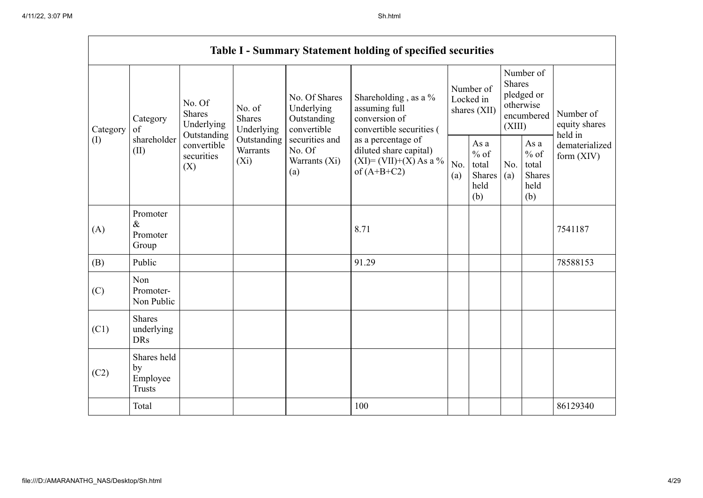$\blacksquare$ 

|                 | <b>Table I - Summary Statement holding of specified securities</b> |                                                      |                                                                      |                                                                                                               |                                                                                            |                                        |                                                  |                                                                               |                                                         |                                       |  |  |  |
|-----------------|--------------------------------------------------------------------|------------------------------------------------------|----------------------------------------------------------------------|---------------------------------------------------------------------------------------------------------------|--------------------------------------------------------------------------------------------|----------------------------------------|--------------------------------------------------|-------------------------------------------------------------------------------|---------------------------------------------------------|---------------------------------------|--|--|--|
| Category<br>(I) | Category<br>of<br>shareholder<br>(II)                              | No. Of<br><b>Shares</b><br>Underlying<br>Outstanding | No. of<br>Shares<br>Underlying<br>Outstanding<br>Warrants<br>$(X_i)$ | No. Of Shares<br>Underlying<br>Outstanding<br>convertible<br>securities and<br>No. Of<br>Warrants (Xi)<br>(a) | Shareholding, as a %<br>assuming full<br>conversion of<br>convertible securities (         | Number of<br>Locked in<br>shares (XII) |                                                  | Number of<br><b>Shares</b><br>pledged or<br>otherwise<br>encumbered<br>(XIII) |                                                         | Number of<br>equity shares<br>held in |  |  |  |
|                 |                                                                    | convertible<br>securities<br>(X)                     |                                                                      |                                                                                                               | as a percentage of<br>diluted share capital)<br>$(XI) = (VII)+(X) As a %$<br>of $(A+B+C2)$ | No.<br>(a)                             | As a<br>$%$ of<br>total<br>Shares<br>held<br>(b) | No.<br>(a)                                                                    | As a<br>$%$ of<br>total<br><b>Shares</b><br>held<br>(b) | dematerialized<br>form $(XIV)$        |  |  |  |
| (A)             | Promoter<br>$\&$<br>Promoter<br>Group                              |                                                      |                                                                      |                                                                                                               | 8.71                                                                                       |                                        |                                                  |                                                                               |                                                         | 7541187                               |  |  |  |
| (B)             | Public                                                             |                                                      |                                                                      |                                                                                                               | 91.29                                                                                      |                                        |                                                  |                                                                               |                                                         | 78588153                              |  |  |  |
| (C)             | Non<br>Promoter-<br>Non Public                                     |                                                      |                                                                      |                                                                                                               |                                                                                            |                                        |                                                  |                                                                               |                                                         |                                       |  |  |  |
| (C1)            | Shares<br>underlying<br><b>DRs</b>                                 |                                                      |                                                                      |                                                                                                               |                                                                                            |                                        |                                                  |                                                                               |                                                         |                                       |  |  |  |
| (C2)            | Shares held<br>by<br>Employee<br><b>Trusts</b>                     |                                                      |                                                                      |                                                                                                               |                                                                                            |                                        |                                                  |                                                                               |                                                         |                                       |  |  |  |
|                 | Total                                                              |                                                      |                                                                      |                                                                                                               | 100                                                                                        |                                        |                                                  |                                                                               |                                                         | 86129340                              |  |  |  |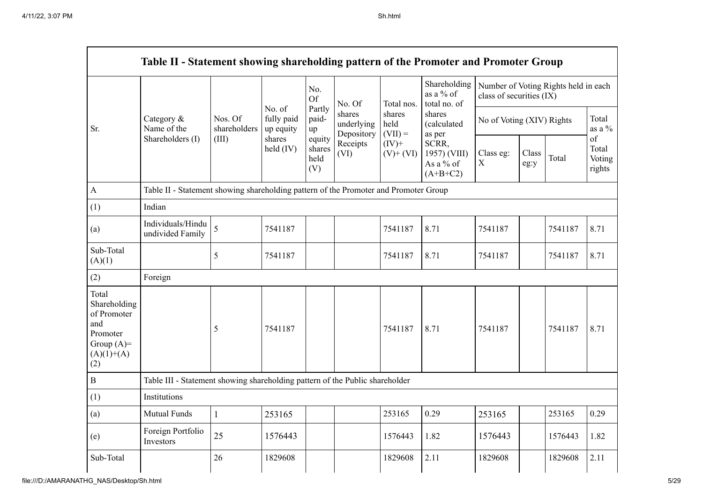|                                                                                                | Table II - Statement showing shareholding pattern of the Promoter and Promoter Group |                                                                                      |                                   |                                                          |                                    |                                                                         |                                                                                                                                  |                                                                  |               |         |                                 |  |  |  |
|------------------------------------------------------------------------------------------------|--------------------------------------------------------------------------------------|--------------------------------------------------------------------------------------|-----------------------------------|----------------------------------------------------------|------------------------------------|-------------------------------------------------------------------------|----------------------------------------------------------------------------------------------------------------------------------|------------------------------------------------------------------|---------------|---------|---------------------------------|--|--|--|
|                                                                                                |                                                                                      |                                                                                      |                                   | No.<br><b>Of</b>                                         | No. Of                             | Total nos.<br>shares<br>held<br>$(VII) =$<br>$(IV)$ +<br>$(V)$ + $(VI)$ | Shareholding<br>as a % of<br>total no. of<br>shares<br>(calculated<br>as per<br>SCRR,<br>1957) (VIII)<br>As a % of<br>$(A+B+C2)$ | Number of Voting Rights held in each<br>class of securities (IX) |               |         |                                 |  |  |  |
| Sr.                                                                                            | Category &<br>Name of the                                                            | Nos. Of<br>shareholders                                                              | No. of<br>fully paid<br>up equity | Partly<br>paid-<br>up<br>equity<br>shares<br>held<br>(V) | shares<br>underlying<br>Depository |                                                                         |                                                                                                                                  | No of Voting (XIV) Rights                                        |               |         | Total<br>as a %                 |  |  |  |
|                                                                                                | Shareholders (I)                                                                     | (III)                                                                                | shares<br>held $(IV)$             |                                                          | Receipts<br>(VI)                   |                                                                         |                                                                                                                                  | Class eg:<br>$\mathbf X$                                         | Class<br>eg:y | Total   | of<br>Total<br>Voting<br>rights |  |  |  |
| $\mathbf{A}$                                                                                   |                                                                                      | Table II - Statement showing shareholding pattern of the Promoter and Promoter Group |                                   |                                                          |                                    |                                                                         |                                                                                                                                  |                                                                  |               |         |                                 |  |  |  |
| (1)                                                                                            | Indian                                                                               |                                                                                      |                                   |                                                          |                                    |                                                                         |                                                                                                                                  |                                                                  |               |         |                                 |  |  |  |
| (a)                                                                                            | Individuals/Hindu<br>undivided Family                                                | 5                                                                                    | 7541187                           |                                                          |                                    | 7541187                                                                 | 8.71                                                                                                                             | 7541187                                                          |               | 7541187 | 8.71                            |  |  |  |
| Sub-Total<br>(A)(1)                                                                            |                                                                                      | 5                                                                                    | 7541187                           |                                                          |                                    | 7541187                                                                 | 8.71                                                                                                                             | 7541187                                                          |               | 7541187 | 8.71                            |  |  |  |
| (2)                                                                                            | Foreign                                                                              |                                                                                      |                                   |                                                          |                                    |                                                                         |                                                                                                                                  |                                                                  |               |         |                                 |  |  |  |
| Total<br>Shareholding<br>of Promoter<br>and<br>Promoter<br>Group $(A)=$<br>$(A)(1)+(A)$<br>(2) |                                                                                      | 5                                                                                    | 7541187                           |                                                          |                                    | 7541187                                                                 | 8.71                                                                                                                             | 7541187                                                          |               | 7541187 | 8.71                            |  |  |  |
| $\, {\bf B}$                                                                                   | Table III - Statement showing shareholding pattern of the Public shareholder         |                                                                                      |                                   |                                                          |                                    |                                                                         |                                                                                                                                  |                                                                  |               |         |                                 |  |  |  |
| (1)                                                                                            | Institutions                                                                         |                                                                                      |                                   |                                                          |                                    |                                                                         |                                                                                                                                  |                                                                  |               |         |                                 |  |  |  |
| (a)                                                                                            | <b>Mutual Funds</b>                                                                  | $\mathbf{1}$                                                                         | 253165                            |                                                          |                                    | 253165                                                                  | 0.29                                                                                                                             | 253165                                                           |               | 253165  | 0.29                            |  |  |  |
| (e)                                                                                            | Foreign Portfolio<br>Investors                                                       | 25                                                                                   | 1576443                           |                                                          |                                    | 1576443                                                                 | 1.82                                                                                                                             | 1576443                                                          |               | 1576443 | 1.82                            |  |  |  |
| Sub-Total                                                                                      |                                                                                      | 26                                                                                   | 1829608                           |                                                          |                                    | 1829608                                                                 | 2.11                                                                                                                             | 1829608                                                          |               | 1829608 | 2.11                            |  |  |  |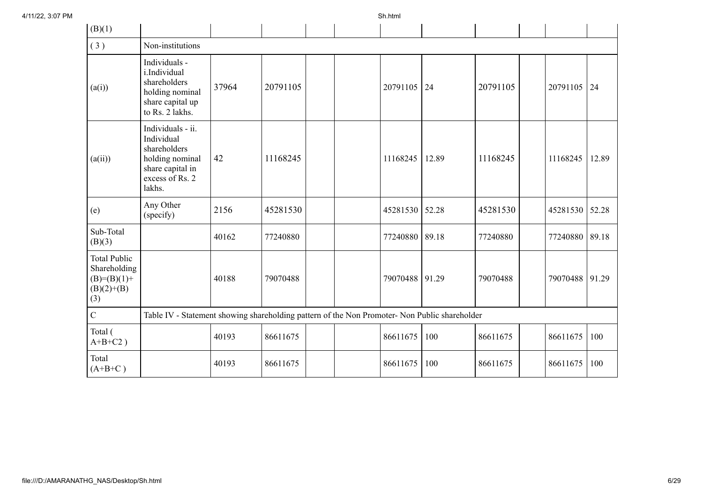| (B)(1)                                                                      |                                                                                                                     |       |          |  |          |       |          |          |       |
|-----------------------------------------------------------------------------|---------------------------------------------------------------------------------------------------------------------|-------|----------|--|----------|-------|----------|----------|-------|
| (3)                                                                         | Non-institutions                                                                                                    |       |          |  |          |       |          |          |       |
| (a(i))                                                                      | Individuals -<br>i.Individual<br>shareholders<br>holding nominal<br>share capital up<br>to Rs. 2 lakhs.             | 37964 | 20791105 |  | 20791105 | 24    | 20791105 | 20791105 | 24    |
| (a(ii))                                                                     | Individuals - ii.<br>Individual<br>shareholders<br>holding nominal<br>share capital in<br>excess of Rs. 2<br>lakhs. | 42    | 11168245 |  | 11168245 | 12.89 | 11168245 | 11168245 | 12.89 |
| (e)                                                                         | Any Other<br>(specify)                                                                                              | 2156  | 45281530 |  | 45281530 | 52.28 | 45281530 | 45281530 | 52.28 |
| Sub-Total<br>(B)(3)                                                         |                                                                                                                     | 40162 | 77240880 |  | 77240880 | 89.18 | 77240880 | 77240880 | 89.18 |
| <b>Total Public</b><br>Shareholding<br>$(B)=(B)(1)+$<br>$(B)(2)+(B)$<br>(3) |                                                                                                                     | 40188 | 79070488 |  | 79070488 | 91.29 | 79070488 | 79070488 | 91.29 |
| $\mathbf C$                                                                 | Table IV - Statement showing shareholding pattern of the Non Promoter- Non Public shareholder                       |       |          |  |          |       |          |          |       |
| Total (<br>$A+B+C2$ )                                                       |                                                                                                                     | 40193 | 86611675 |  | 86611675 | 100   | 86611675 | 86611675 | 100   |
| Total<br>$(A+B+C)$                                                          |                                                                                                                     | 40193 | 86611675 |  | 86611675 | 100   | 86611675 | 86611675 | 100   |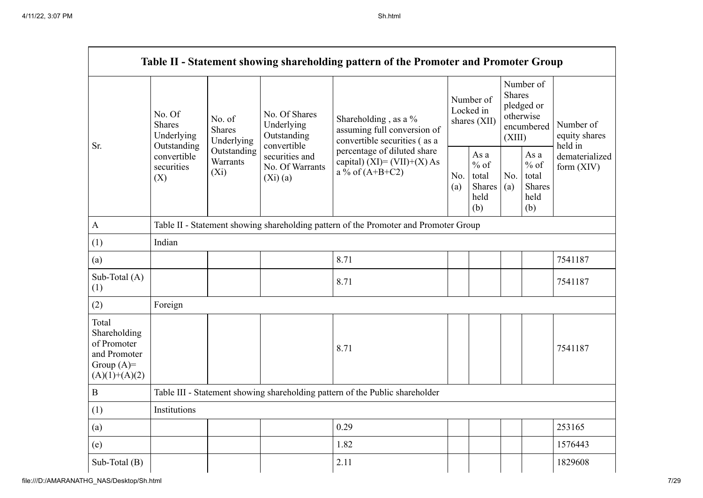|                                                                                         |                                                                                          |                                                                                                                                    |                                   | Table II - Statement showing shareholding pattern of the Promoter and Promoter Group |                                        |                                                  |                                                                               |                                                  |                                       |  |  |  |
|-----------------------------------------------------------------------------------------|------------------------------------------------------------------------------------------|------------------------------------------------------------------------------------------------------------------------------------|-----------------------------------|--------------------------------------------------------------------------------------|----------------------------------------|--------------------------------------------------|-------------------------------------------------------------------------------|--------------------------------------------------|---------------------------------------|--|--|--|
| Sr.                                                                                     | No. Of<br><b>Shares</b><br>Underlying<br>Outstanding<br>convertible<br>securities<br>(X) | No. of<br>Underlying<br><b>Shares</b><br>Outstanding<br>Underlying<br>convertible<br>Outstanding<br>Warrants<br>$(X_i)$<br>(Xi)(a) | No. Of Shares                     | Shareholding, as a %<br>assuming full conversion of<br>convertible securities (as a  | Number of<br>Locked in<br>shares (XII) |                                                  | Number of<br><b>Shares</b><br>pledged or<br>otherwise<br>encumbered<br>(XIII) |                                                  | Number of<br>equity shares<br>held in |  |  |  |
|                                                                                         |                                                                                          |                                                                                                                                    | securities and<br>No. Of Warrants | percentage of diluted share<br>capital) $(XI) = (VII)+(X) As$<br>a % of $(A+B+C2)$   |                                        | As a<br>$%$ of<br>total<br>Shares<br>held<br>(b) | No.<br>(a)                                                                    | As a<br>$%$ of<br>total<br>Shares<br>held<br>(b) | dematerialized<br>form $(XIV)$        |  |  |  |
| $\mathbf{A}$                                                                            |                                                                                          | Table II - Statement showing shareholding pattern of the Promoter and Promoter Group                                               |                                   |                                                                                      |                                        |                                                  |                                                                               |                                                  |                                       |  |  |  |
| (1)                                                                                     | Indian                                                                                   |                                                                                                                                    |                                   |                                                                                      |                                        |                                                  |                                                                               |                                                  |                                       |  |  |  |
| (a)                                                                                     |                                                                                          |                                                                                                                                    |                                   | 8.71                                                                                 |                                        |                                                  |                                                                               |                                                  | 7541187                               |  |  |  |
| Sub-Total (A)<br>(1)                                                                    |                                                                                          |                                                                                                                                    |                                   | 8.71                                                                                 |                                        |                                                  |                                                                               |                                                  | 7541187                               |  |  |  |
| (2)                                                                                     | Foreign                                                                                  |                                                                                                                                    |                                   |                                                                                      |                                        |                                                  |                                                                               |                                                  |                                       |  |  |  |
| Total<br>Shareholding<br>of Promoter<br>and Promoter<br>Group $(A)=$<br>$(A)(1)+(A)(2)$ |                                                                                          |                                                                                                                                    |                                   | 8.71                                                                                 |                                        |                                                  |                                                                               |                                                  | 7541187                               |  |  |  |
| $\boldsymbol{B}$                                                                        |                                                                                          |                                                                                                                                    |                                   | Table III - Statement showing shareholding pattern of the Public shareholder         |                                        |                                                  |                                                                               |                                                  |                                       |  |  |  |
| (1)                                                                                     | Institutions                                                                             |                                                                                                                                    |                                   |                                                                                      |                                        |                                                  |                                                                               |                                                  |                                       |  |  |  |
| (a)                                                                                     |                                                                                          |                                                                                                                                    |                                   | 0.29                                                                                 |                                        |                                                  |                                                                               |                                                  | 253165                                |  |  |  |
| (e)                                                                                     |                                                                                          |                                                                                                                                    |                                   | 1.82                                                                                 |                                        |                                                  |                                                                               |                                                  | 1576443                               |  |  |  |
| Sub-Total $(B)$                                                                         |                                                                                          |                                                                                                                                    |                                   | 2.11                                                                                 |                                        |                                                  |                                                                               |                                                  | 1829608                               |  |  |  |